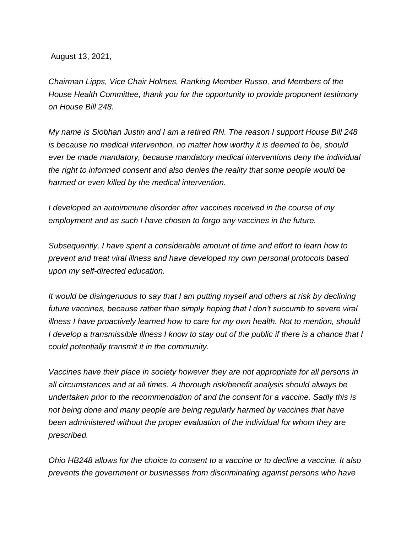August 13, 2021,

*Chairman Lipps, Vice Chair Holmes, Ranking Member Russo, and Members of the House Health Committee, thank you for the opportunity to provide proponent testimony on House Bill 248.*

*My name is Siobhan Justin and I am a retired RN. The reason I support House Bill 248 is because no medical intervention, no matter how worthy it is deemed to be, should ever be made mandatory, because mandatory medical interventions deny the individual the right to informed consent and also denies the reality that some people would be harmed or even killed by the medical intervention.*

*I developed an autoimmune disorder after vaccines received in the course of my employment and as such I have chosen to forgo any vaccines in the future.*

*Subsequently, I have spent a considerable amount of time and effort to learn how to prevent and treat viral illness and have developed my own personal protocols based upon my self-directed education.*

*It would be disingenuous to say that I am putting myself and others at risk by declining future vaccines, because rather than simply hoping that I don't succumb to severe viral illness I have proactively learned how to care for my own health. Not to mention, should I develop a transmissible illness I know to stay out of the public if there is a chance that I could potentially transmit it in the community.*

*Vaccines have their place in society however they are not appropriate for all persons in all circumstances and at all times. A thorough risk/benefit analysis should always be undertaken prior to the recommendation of and the consent for a vaccine. Sadly this is not being done and many people are being regularly harmed by vaccines that have been administered without the proper evaluation of the individual for whom they are prescribed.* 

*Ohio HB248 allows for the choice to consent to a vaccine or to decline a vaccine. It also prevents the government or businesses from discriminating against persons who have*